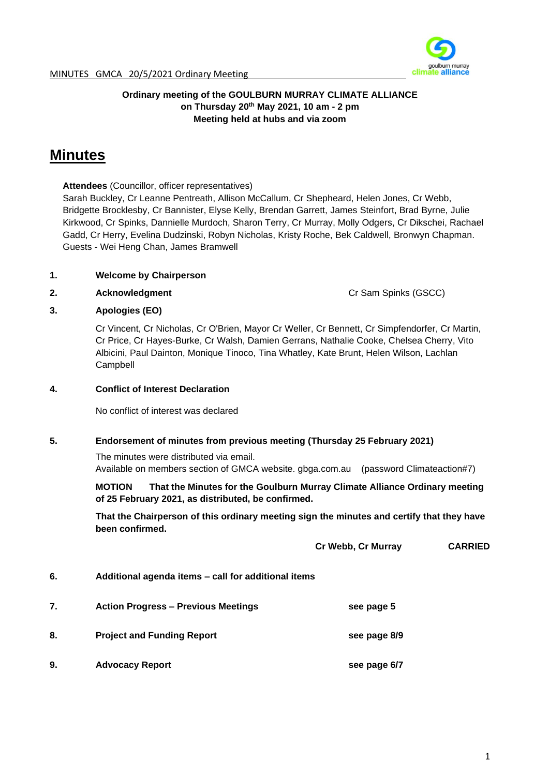### **Ordinary meeting of the GOULBURN MURRAY CLIMATE ALLIANCE on Thursday 20th May 2021, 10 am - 2 pm Meeting held at hubs and via zoom**

# **Minutes**

**Attendees** (Councillor, officer representatives)

Sarah Buckley, Cr Leanne Pentreath, Allison McCallum, Cr Shepheard, Helen Jones, Cr Webb, Bridgette Brocklesby, Cr Bannister, Elyse Kelly, Brendan Garrett, James Steinfort, Brad Byrne, Julie Kirkwood, Cr Spinks, Dannielle Murdoch, Sharon Terry, Cr Murray, Molly Odgers, Cr Dikschei, Rachael Gadd, Cr Herry, Evelina Dudzinski, Robyn Nicholas, Kristy Roche, Bek Caldwell, Bronwyn Chapman. Guests - Wei Heng Chan, James Bramwell

#### **1. Welcome by Chairperson**

#### **2. Acknowledgment Cr Sam Spinks (GSCC)**

#### **3. Apologies (EO)**

Cr Vincent, Cr Nicholas, Cr O'Brien, Mayor Cr Weller, Cr Bennett, Cr Simpfendorfer, Cr Martin, Cr Price, Cr Hayes-Burke, Cr Walsh, Damien Gerrans, Nathalie Cooke, Chelsea Cherry, Vito Albicini, Paul Dainton, Monique Tinoco, Tina Whatley, Kate Brunt, Helen Wilson, Lachlan Campbell

#### **4. Conflict of Interest Declaration**

No conflict of interest was declared

#### **5. Endorsement of minutes from previous meeting (Thursday 25 February 2021)**

The minutes were distributed via email. Available on members section of GMCA website. gbga.com.au (password Climateaction#7)

**MOTION That the Minutes for the Goulburn Murray Climate Alliance Ordinary meeting of 25 February 2021, as distributed, be confirmed.**

**That the Chairperson of this ordinary meeting sign the minutes and certify that they have been confirmed.**

**Cr Webb, Cr Murray CARRIED**

- **6. Additional agenda items – call for additional items**
- **7. Action Progress – Previous Meetings see page 5 8. Project and Funding Report see page 8/9 9. Advocacy Report see page 6/7**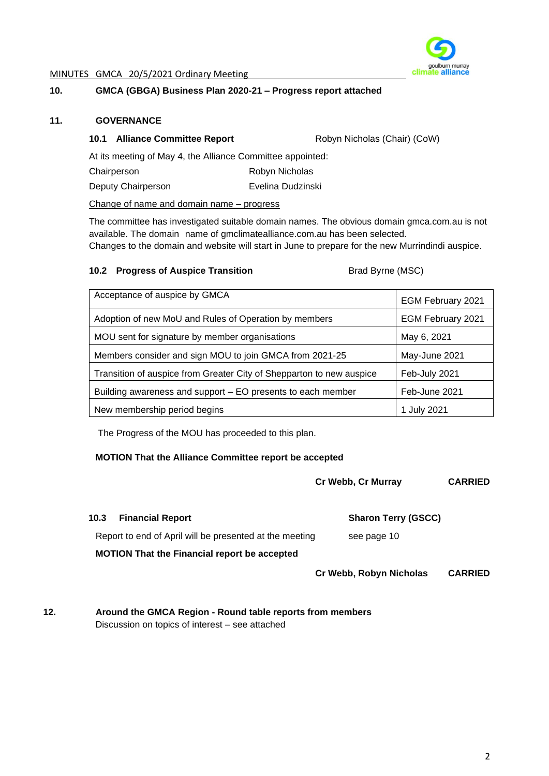

#### **10. GMCA (GBGA) Business Plan 2020-21 – Progress report attached**

#### **11. GOVERNANCE**

| <b>Alliance Committee Report</b><br>10.1                   | Robyn Nicholas (Chair) (CoW) |
|------------------------------------------------------------|------------------------------|
| At its meeting of May 4, the Alliance Committee appointed: |                              |
| Chairperson                                                | Robyn Nicholas               |

Deputy Chairperson **Evelina Dudzinski** 

Change of name and domain name – progress

The committee has investigated suitable domain names. The obvious domain gmca.com.au is not available. The domain name of gmclimatealliance.com.au has been selected. Changes to the domain and website will start in June to prepare for the new Murrindindi auspice.

#### **10.2 Progress of Auspice Transition** Brad Byrne (MSC)

| Acceptance of auspice by GMCA                                        | EGM February 2021 |
|----------------------------------------------------------------------|-------------------|
| Adoption of new MoU and Rules of Operation by members                | EGM February 2021 |
| MOU sent for signature by member organisations                       | May 6, 2021       |
| Members consider and sign MOU to join GMCA from 2021-25              | May-June 2021     |
| Transition of auspice from Greater City of Shepparton to new auspice | Feb-July 2021     |
| Building awareness and support – EO presents to each member          | Feb-June 2021     |
| New membership period begins                                         | 1 July 2021       |

The Progress of the MOU has proceeded to this plan.

#### **MOTION That the Alliance Committee report be accepted**

|      |                                                         | Cr Webb, Cr Murray         | <b>CARRIED</b> |
|------|---------------------------------------------------------|----------------------------|----------------|
| 10.3 | <b>Financial Report</b>                                 | <b>Sharon Terry (GSCC)</b> |                |
|      | Report to end of April will be presented at the meeting | see page 10                |                |
|      | <b>MOTION That the Financial report be accepted</b>     |                            |                |
|      |                                                         | Cr Webb, Robyn Nicholas    | <b>CARRIED</b> |
|      |                                                         |                            |                |

**12. Around the GMCA Region - Round table reports from members** Discussion on topics of interest – see attached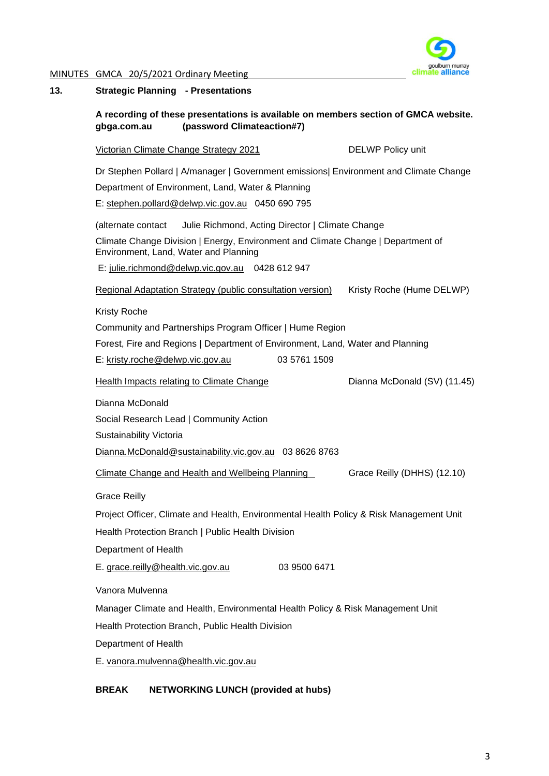

#### **13. Strategic Planning - Presentations**

**A recording of these presentations is available on members section of GMCA website. gbga.com.au (password Climateaction#7)** Victorian Climate Change Strategy 2021 DELWP Policy unit Dr Stephen Pollard | A/manager | Government emissions| Environment and Climate Change Department of Environment, Land, Water & Planning E: [stephen.pollard@delwp.vic.gov.au](mailto:stephen.pollard@delwp.vic.gov.au) 0450 690 795 (alternate contact Julie Richmond, Acting Director | Climate Change Climate Change Division | Energy, Environment and Climate Change | Department of Environment, Land, Water and Planning E: [julie.richmond@delwp.vic.gov.au](mailto:julie.richmond@delwp.vic.gov.au) 0428 612 947 Regional Adaptation Strategy (public consultation version) Kristy Roche (Hume DELWP) Kristy Roche Community and Partnerships Program Officer | Hume Region Forest, Fire and Regions | Department of Environment, Land, Water and Planning E: [kristy.roche@delwp.vic.gov.au](mailto:kristy.roche@delwp.vic.gov.au) 03 5761 1509 Health Impacts relating to Climate Change Dianna McDonald (SV) (11.45) Dianna McDonald Social Research Lead | Community Action Sustainability Victoria [Dianna.McDonald@sustainability.vic.gov.au](mailto:Dianna.McDonald@sustainability.vic.gov.au) 03 8626 8763 Climate Change and Health and Wellbeing Planning Grace Reilly (DHHS) (12.10) Grace Reilly Project Officer, Climate and Health, Environmental Health Policy & Risk Management Unit Health Protection Branch | Public Health Division Department of Health E. [grace.reilly@health.vic.gov.au](mailto:grace.reilly@health.vic.gov.au) 03 9500 6471 Vanora Mulvenna Manager Climate and Health, Environmental Health Policy & Risk Management Unit Health Protection Branch, Public Health Division Department of Health E. [vanora.mulvenna@health.vic.gov.au](mailto:vanora.mulvenna@health.vic.gov.au)

#### **BREAK NETWORKING LUNCH (provided at hubs)**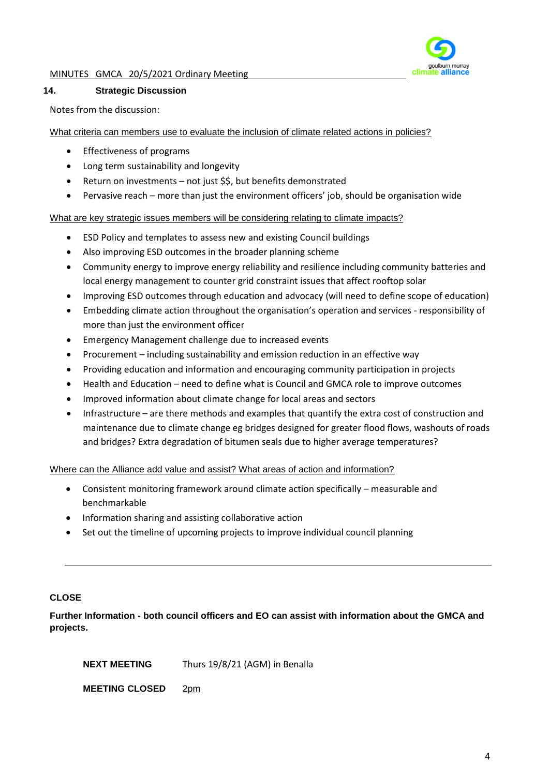

### **14. Strategic Discussion**

Notes from the discussion:

What criteria can members use to evaluate the inclusion of climate related actions in policies?

- Effectiveness of programs
- Long term sustainability and longevity
- Return on investments not just \$\$, but benefits demonstrated
- Pervasive reach more than just the environment officers' job, should be organisation wide

What are key strategic issues members will be considering relating to climate impacts?

- ESD Policy and templates to assess new and existing Council buildings
- Also improving ESD outcomes in the broader planning scheme
- Community energy to improve energy reliability and resilience including community batteries and local energy management to counter grid constraint issues that affect rooftop solar
- Improving ESD outcomes through education and advocacy (will need to define scope of education)
- Embedding climate action throughout the organisation's operation and services responsibility of more than just the environment officer
- Emergency Management challenge due to increased events
- Procurement including sustainability and emission reduction in an effective way
- Providing education and information and encouraging community participation in projects
- Health and Education need to define what is Council and GMCA role to improve outcomes
- Improved information about climate change for local areas and sectors
- Infrastructure are there methods and examples that quantify the extra cost of construction and maintenance due to climate change eg bridges designed for greater flood flows, washouts of roads and bridges? Extra degradation of bitumen seals due to higher average temperatures?

Where can the Alliance add value and assist? What areas of action and information?

- Consistent monitoring framework around climate action specifically measurable and benchmarkable
- Information sharing and assisting collaborative action
- Set out the timeline of upcoming projects to improve individual council planning

#### **CLOSE**

**Further Information - both council officers and EO can assist with information about the GMCA and projects.**

**NEXT MEETING** Thurs 19/8/21 (AGM) in Benalla

**MEETING CLOSED** 2pm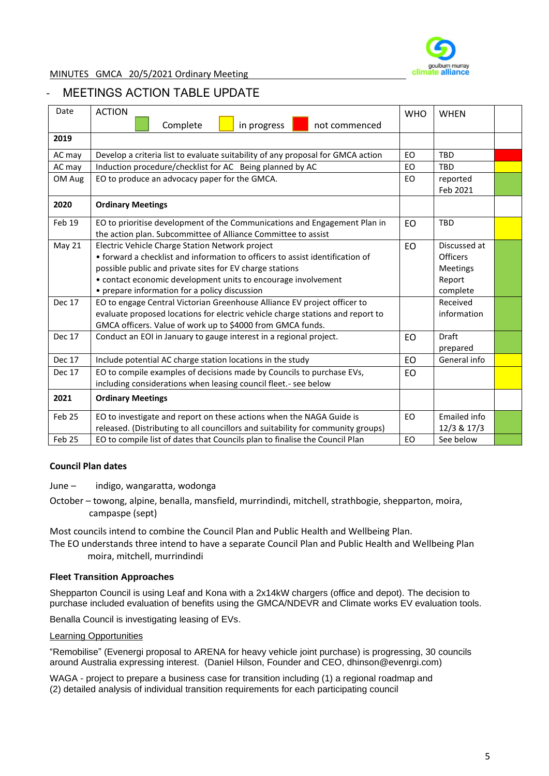

# MEETINGS ACTION TABLE UPDATE

| Date          | <b>ACTION</b>                                                                    | <b>WHO</b> | <b>WHEN</b>  |  |
|---------------|----------------------------------------------------------------------------------|------------|--------------|--|
|               | Complete<br>in progress<br>not commenced                                         |            |              |  |
| 2019          |                                                                                  |            |              |  |
| AC may        | Develop a criteria list to evaluate suitability of any proposal for GMCA action  | <b>EO</b>  | <b>TBD</b>   |  |
| AC may        | Induction procedure/checklist for AC Being planned by AC                         | <b>EO</b>  | <b>TBD</b>   |  |
| OM Aug        | EO to produce an advocacy paper for the GMCA.                                    | <b>EO</b>  | reported     |  |
|               |                                                                                  |            | Feb 2021     |  |
| 2020          | <b>Ordinary Meetings</b>                                                         |            |              |  |
| Feb 19        | EO to prioritise development of the Communications and Engagement Plan in        | <b>EO</b>  | <b>TBD</b>   |  |
|               | the action plan. Subcommittee of Alliance Committee to assist                    |            |              |  |
| <b>May 21</b> | Electric Vehicle Charge Station Network project                                  | <b>EO</b>  | Discussed at |  |
|               | • forward a checklist and information to officers to assist identification of    |            | Officers     |  |
|               | possible public and private sites for EV charge stations                         |            | Meetings     |  |
|               | • contact economic development units to encourage involvement                    |            | Report       |  |
|               | • prepare information for a policy discussion                                    |            | complete     |  |
| <b>Dec 17</b> | EO to engage Central Victorian Greenhouse Alliance EV project officer to         |            | Received     |  |
|               | evaluate proposed locations for electric vehicle charge stations and report to   |            | information  |  |
|               | GMCA officers. Value of work up to \$4000 from GMCA funds.                       |            |              |  |
| <b>Dec 17</b> | Conduct an EOI in January to gauge interest in a regional project.               | EO         | <b>Draft</b> |  |
|               |                                                                                  |            | prepared     |  |
| <b>Dec 17</b> | Include potential AC charge station locations in the study                       | <b>EO</b>  | General info |  |
| <b>Dec 17</b> | EO to compile examples of decisions made by Councils to purchase EVs,            | EO         |              |  |
|               | including considerations when leasing council fleet.- see below                  |            |              |  |
| 2021          | <b>Ordinary Meetings</b>                                                         |            |              |  |
| Feb 25        | EO to investigate and report on these actions when the NAGA Guide is             | <b>EO</b>  | Emailed info |  |
|               | released. (Distributing to all councillors and suitability for community groups) |            | 12/3 & 17/3  |  |
| Feb 25        | EO to compile list of dates that Councils plan to finalise the Council Plan      | <b>EO</b>  | See below    |  |

#### **Council Plan dates**

June – indigo, wangaratta, wodonga

October – towong, alpine, benalla, mansfield, murrindindi, mitchell, strathbogie, shepparton, moira, campaspe (sept)

Most councils intend to combine the Council Plan and Public Health and Wellbeing Plan.

The EO understands three intend to have a separate Council Plan and Public Health and Wellbeing Plan moira, mitchell, murrindindi

#### **Fleet Transition Approaches**

Shepparton Council is using Leaf and Kona with a 2x14kW chargers (office and depot). The decision to purchase included evaluation of benefits using the GMCA/NDEVR and Climate works EV evaluation tools.

Benalla Council is investigating leasing of EVs.

#### Learning Opportunities

"Remobilise" (Evenergi proposal to ARENA for heavy vehicle joint purchase) is progressing, 30 councils around Australia expressing interest. (Daniel Hilson, Founder and CEO, dhinson@evenrgi.com)

WAGA - project to prepare a business case for transition including (1) a regional roadmap and (2) detailed analysis of individual transition requirements for each participating council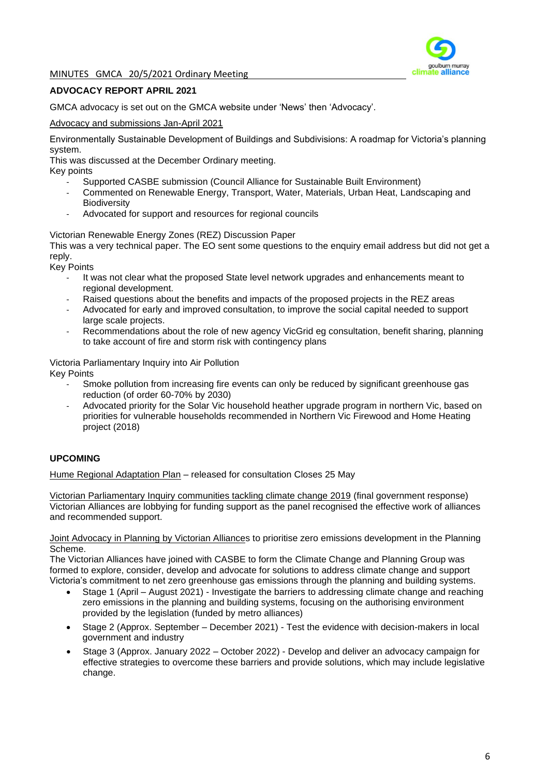

## **ADVOCACY REPORT APRIL 2021**

GMCA advocacy is set out on the GMCA website under 'News' then 'Advocacy'.

#### Advocacy and submissions Jan-April 2021

Environmentally Sustainable Development of Buildings and Subdivisions: A roadmap for Victoria's planning system.

This was discussed at the December Ordinary meeting.

Key points

- Supported CASBE submission (Council Alliance for Sustainable Built Environment)
- Commented on Renewable Energy, Transport, Water, Materials, Urban Heat, Landscaping and **Biodiversity**
- Advocated for support and resources for regional councils

Victorian Renewable Energy Zones (REZ) Discussion Paper

This was a very technical paper. The EO sent some questions to the enquiry email address but did not get a reply.

Key Points

- It was not clear what the proposed State level network upgrades and enhancements meant to regional development.
- Raised questions about the benefits and impacts of the proposed projects in the REZ areas
- Advocated for early and improved consultation, to improve the social capital needed to support large scale projects.
- Recommendations about the role of new agency VicGrid eg consultation, benefit sharing, planning to take account of fire and storm risk with contingency plans

Victoria Parliamentary Inquiry into Air Pollution Key Points

- Smoke pollution from increasing fire events can only be reduced by significant greenhouse gas reduction (of order 60-70% by 2030)
- Advocated priority for the Solar Vic household heather upgrade program in northern Vic, based on priorities for vulnerable households recommended in Northern Vic Firewood and Home Heating project (2018)

# **UPCOMING**

Hume Regional Adaptation Plan – released for consultation Closes 25 May

Victorian Parliamentary Inquiry communities tackling climate change 2019 (final government response) Victorian Alliances are lobbying for funding support as the panel recognised the effective work of alliances and recommended support.

Joint Advocacy in Planning by Victorian Alliances to prioritise zero emissions development in the Planning Scheme.

The Victorian Alliances have joined with CASBE to form the Climate Change and Planning Group was formed to explore, consider, develop and advocate for solutions to address climate change and support Victoria's commitment to net zero greenhouse gas emissions through the planning and building systems.

- Stage 1 (April August 2021) Investigate the barriers to addressing climate change and reaching zero emissions in the planning and building systems, focusing on the authorising environment provided by the legislation (funded by metro alliances)
- Stage 2 (Approx. September December 2021) Test the evidence with decision-makers in local government and industry
- Stage 3 (Approx. January 2022 October 2022) Develop and deliver an advocacy campaign for effective strategies to overcome these barriers and provide solutions, which may include legislative change.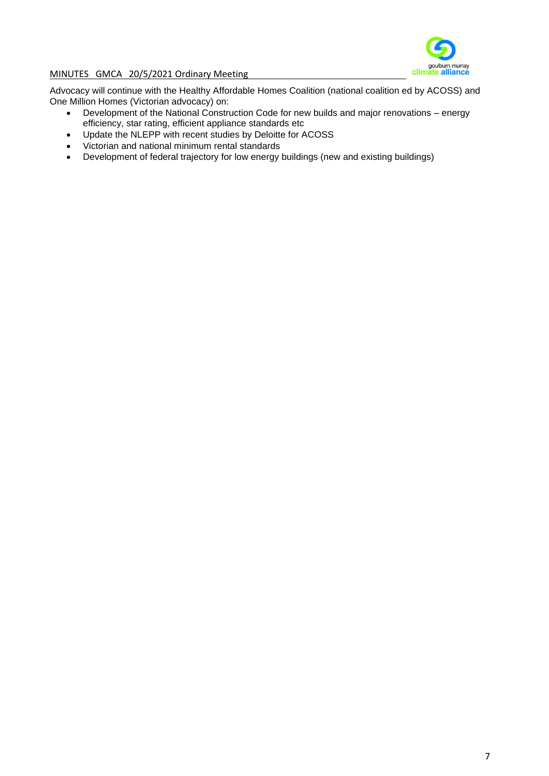

Advocacy will continue with the Healthy Affordable Homes Coalition (national coalition ed by ACOSS) and One Million Homes (Victorian advocacy) on:

- Development of the National Construction Code for new builds and major renovations energy efficiency, star rating, efficient appliance standards etc
- Update the NLEPP with recent studies by Deloitte for ACOSS
- Victorian and national minimum rental standards
- Development of federal trajectory for low energy buildings (new and existing buildings)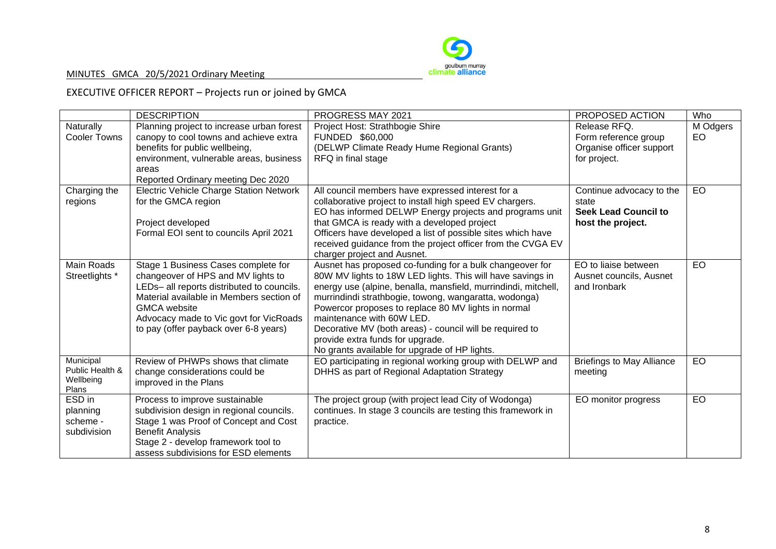

# EXECUTIVE OFFICER REPORT – Projects run or joined by GMCA

|                                                    | <b>DESCRIPTION</b>                                                                                                                                                                                                                                                            | PROGRESS MAY 2021                                                                                                                                                                                                                                                                                                                                                                                                                                                                      | PROPOSED ACTION                                                                       | Who            |
|----------------------------------------------------|-------------------------------------------------------------------------------------------------------------------------------------------------------------------------------------------------------------------------------------------------------------------------------|----------------------------------------------------------------------------------------------------------------------------------------------------------------------------------------------------------------------------------------------------------------------------------------------------------------------------------------------------------------------------------------------------------------------------------------------------------------------------------------|---------------------------------------------------------------------------------------|----------------|
| Naturally<br><b>Cooler Towns</b>                   | Planning project to increase urban forest<br>canopy to cool towns and achieve extra<br>benefits for public wellbeing,<br>environment, vulnerable areas, business<br>areas<br>Reported Ordinary meeting Dec 2020                                                               | Project Host: Strathbogie Shire<br>FUNDED \$60,000<br>(DELWP Climate Ready Hume Regional Grants)<br>RFQ in final stage                                                                                                                                                                                                                                                                                                                                                                 | Release RFQ.<br>Form reference group<br>Organise officer support<br>for project.      | M Odgers<br>EO |
| Charging the<br>regions                            | <b>Electric Vehicle Charge Station Network</b><br>for the GMCA region<br>Project developed<br>Formal EOI sent to councils April 2021                                                                                                                                          | All council members have expressed interest for a<br>collaborative project to install high speed EV chargers.<br>EO has informed DELWP Energy projects and programs unit<br>that GMCA is ready with a developed project<br>Officers have developed a list of possible sites which have<br>received guidance from the project officer from the CVGA EV<br>charger project and Ausnet.                                                                                                   | Continue advocacy to the<br>state<br><b>Seek Lead Council to</b><br>host the project. | EO             |
| Main Roads<br>Streetlights *                       | Stage 1 Business Cases complete for<br>changeover of HPS and MV lights to<br>LEDs- all reports distributed to councils.<br>Material available in Members section of<br><b>GMCA</b> website<br>Advocacy made to Vic govt for VicRoads<br>to pay (offer payback over 6-8 years) | Ausnet has proposed co-funding for a bulk changeover for<br>80W MV lights to 18W LED lights. This will have savings in<br>energy use (alpine, benalla, mansfield, murrindindi, mitchell,<br>murrindindi strathbogie, towong, wangaratta, wodonga)<br>Powercor proposes to replace 80 MV lights in normal<br>maintenance with 60W LED.<br>Decorative MV (both areas) - council will be required to<br>provide extra funds for upgrade.<br>No grants available for upgrade of HP lights. | EO to liaise between<br>Ausnet councils, Ausnet<br>and Ironbark                       | EO             |
| Municipal<br>Public Health &<br>Wellbeing<br>Plans | Review of PHWPs shows that climate<br>change considerations could be<br>improved in the Plans                                                                                                                                                                                 | EO participating in regional working group with DELWP and<br>DHHS as part of Regional Adaptation Strategy                                                                                                                                                                                                                                                                                                                                                                              | <b>Briefings to May Alliance</b><br>meeting                                           | EO             |
| ESD in<br>planning<br>scheme -<br>subdivision      | Process to improve sustainable<br>subdivision design in regional councils.<br>Stage 1 was Proof of Concept and Cost<br><b>Benefit Analysis</b><br>Stage 2 - develop framework tool to<br>assess subdivisions for ESD elements                                                 | The project group (with project lead City of Wodonga)<br>continues. In stage 3 councils are testing this framework in<br>practice.                                                                                                                                                                                                                                                                                                                                                     | EO monitor progress                                                                   | EO             |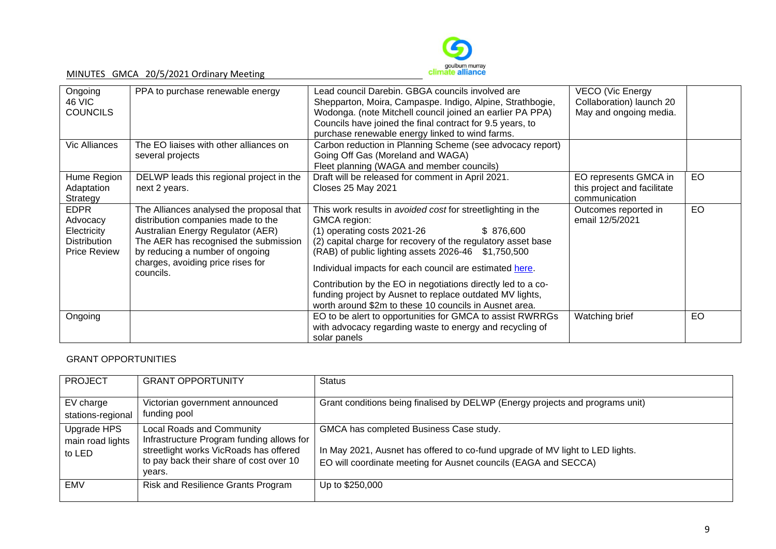

| Ongoing<br>46 VIC<br><b>COUNCILS</b>                                          | PPA to purchase renewable energy                                                                                                                                                                                                                  | Lead council Darebin. GBGA councils involved are<br>Shepparton, Moira, Campaspe. Indigo, Alpine, Strathbogie,<br>Wodonga. (note Mitchell council joined an earlier PA PPA)<br>Councils have joined the final contract for 9.5 years, to<br>purchase renewable energy linked to wind farms.                                                                                                                                                                                                      | <b>VECO (Vic Energy</b><br>Collaboration) launch 20<br>May and ongoing media. |    |
|-------------------------------------------------------------------------------|---------------------------------------------------------------------------------------------------------------------------------------------------------------------------------------------------------------------------------------------------|-------------------------------------------------------------------------------------------------------------------------------------------------------------------------------------------------------------------------------------------------------------------------------------------------------------------------------------------------------------------------------------------------------------------------------------------------------------------------------------------------|-------------------------------------------------------------------------------|----|
| Vic Alliances                                                                 | The EO liaises with other alliances on<br>several projects                                                                                                                                                                                        | Carbon reduction in Planning Scheme (see advocacy report)<br>Going Off Gas (Moreland and WAGA)<br>Fleet planning (WAGA and member councils)                                                                                                                                                                                                                                                                                                                                                     |                                                                               |    |
| Hume Region<br>Adaptation<br>Strategy                                         | DELWP leads this regional project in the<br>next 2 years.                                                                                                                                                                                         | Draft will be released for comment in April 2021.<br><b>Closes 25 May 2021</b>                                                                                                                                                                                                                                                                                                                                                                                                                  | EO represents GMCA in<br>this project and facilitate<br>communication         | EO |
| <b>EDPR</b><br>Advocacy<br>Electricity<br>Distribution<br><b>Price Review</b> | The Alliances analysed the proposal that<br>distribution companies made to the<br>Australian Energy Regulator (AER)<br>The AER has recognised the submission<br>by reducing a number of ongoing<br>charges, avoiding price rises for<br>councils. | This work results in avoided cost for streetlighting in the<br>GMCA region:<br>(1) operating costs 2021-26<br>\$876,600<br>(2) capital charge for recovery of the regulatory asset base<br>(RAB) of public lighting assets 2026-46 \$1,750,500<br>Individual impacts for each council are estimated here.<br>Contribution by the EO in negotiations directly led to a co-<br>funding project by Ausnet to replace outdated MV lights,<br>worth around \$2m to these 10 councils in Ausnet area. | Outcomes reported in<br>email 12/5/2021                                       | EO |
| Ongoing                                                                       |                                                                                                                                                                                                                                                   | EO to be alert to opportunities for GMCA to assist RWRRGs<br>with advocacy regarding waste to energy and recycling of<br>solar panels                                                                                                                                                                                                                                                                                                                                                           | Watching brief                                                                | EO |

# GRANT OPPORTUNITIES

| <b>PROJECT</b>                            | <b>GRANT OPPORTUNITY</b>                                                                                                                                                     | Status                                                                                                                                                                                      |
|-------------------------------------------|------------------------------------------------------------------------------------------------------------------------------------------------------------------------------|---------------------------------------------------------------------------------------------------------------------------------------------------------------------------------------------|
| EV charge<br>stations-regional            | Victorian government announced<br>funding pool                                                                                                                               | Grant conditions being finalised by DELWP (Energy projects and programs unit)                                                                                                               |
| Upgrade HPS<br>main road lights<br>to LED | <b>Local Roads and Community</b><br>Infrastructure Program funding allows for<br>streetlight works VicRoads has offered<br>to pay back their share of cost over 10<br>years. | GMCA has completed Business Case study.<br>In May 2021, Ausnet has offered to co-fund upgrade of MV light to LED lights.<br>EO will coordinate meeting for Ausnet councils (EAGA and SECCA) |
| EMV                                       | Risk and Resilience Grants Program                                                                                                                                           | Up to \$250,000                                                                                                                                                                             |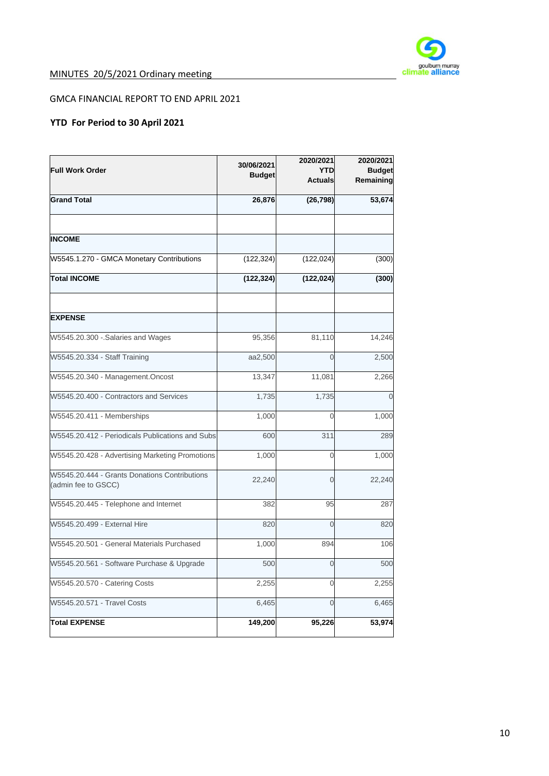

## GMCA FINANCIAL REPORT TO END APRIL 2021

### **YTD For Period to 30 April 2021**

| <b>Full Work Order</b>                                               | 30/06/2021<br><b>Budget</b> | 2020/2021<br><b>YTD</b><br><b>Actuals</b> | 2020/2021<br><b>Budget</b><br>Remaining |
|----------------------------------------------------------------------|-----------------------------|-------------------------------------------|-----------------------------------------|
| <b>Grand Total</b>                                                   | 26,876                      | (26, 798)                                 | 53,674                                  |
| <b>INCOME</b>                                                        |                             |                                           |                                         |
| W5545.1.270 - GMCA Monetary Contributions                            | (122, 324)                  | (122, 024)                                | (300)                                   |
| <b>Total INCOME</b>                                                  | (122, 324)                  | (122, 024)                                | (300)                                   |
| <b>EXPENSE</b>                                                       |                             |                                           |                                         |
| W5545.20.300 - Salaries and Wages                                    | 95,356                      | 81,110                                    | 14,246                                  |
| W5545.20.334 - Staff Training                                        | aa2,500                     | $\overline{0}$                            | 2,500                                   |
| W5545.20.340 - Management.Oncost                                     | 13,347                      | 11,081                                    | 2,266                                   |
| W5545.20.400 - Contractors and Services                              | 1,735                       | 1,735                                     | $\Omega$                                |
| W5545.20.411 - Memberships                                           | 1,000                       | $\overline{0}$                            | 1,000                                   |
| W5545.20.412 - Periodicals Publications and Subs                     | 600                         | 311                                       | 289                                     |
| W5545.20.428 - Advertising Marketing Promotions                      | 1,000                       | $\overline{0}$                            | 1,000                                   |
| W5545.20.444 - Grants Donations Contributions<br>(admin fee to GSCC) | 22,240                      | 0                                         | 22,240                                  |
| W5545.20.445 - Telephone and Internet                                | 382                         | 95                                        | 287                                     |
| W5545.20.499 - External Hire                                         | 820                         | $\overline{0}$                            | 820                                     |
| W5545.20.501 - General Materials Purchased                           | 1,000                       | 894                                       | 106                                     |
| W5545.20.561 - Software Purchase & Upgrade                           | 500                         | $\overline{0}$                            | 500                                     |
| W5545.20.570 - Catering Costs                                        | 2,255                       | 0                                         | 2,255                                   |
| W5545.20.571 - Travel Costs                                          | 6,465                       | $\Omega$                                  | 6,465                                   |
| <b>Total EXPENSE</b>                                                 | 149,200                     | 95,226                                    | 53,974                                  |
|                                                                      |                             |                                           |                                         |